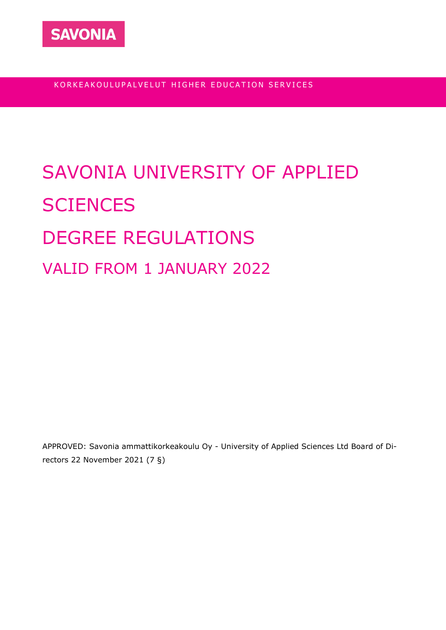

KORKEAKOULUPALVELUT HIGHER EDUCATION SERVICES

# SAVONIA UNIVERSITY OF APPLIED **SCIENCES** DEGREE REGULATIONS VALID FROM 1 JANUARY 2022

APPROVED: Savonia ammattikorkeakoulu Oy - University of Applied Sciences Ltd Board of Directors 22 November 2021 (7 §)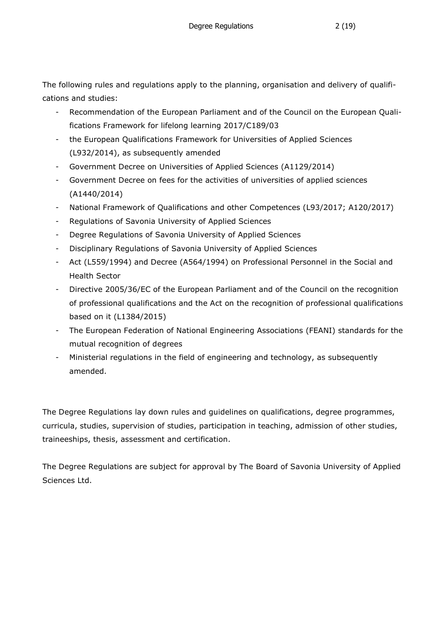The following rules and regulations apply to the planning, organisation and delivery of qualifications and studies:

- Recommendation of the European Parliament and of the Council on the European Qualifications Framework for lifelong learning 2017/C189/03
- the European Qualifications Framework for Universities of Applied Sciences (L932/2014), as subsequently amended
- Government Decree on Universities of Applied Sciences (A1129/2014)
- Government Decree on fees for the activities of universities of applied sciences (A1440/2014)
- National Framework of Qualifications and other Competences (L93/2017; A120/2017)
- Regulations of Savonia University of Applied Sciences
- Degree Regulations of Savonia University of Applied Sciences
- Disciplinary Regulations of Savonia University of Applied Sciences
- Act (L559/1994) and Decree (A564/1994) on Professional Personnel in the Social and Health Sector
- Directive 2005/36/EC of the European Parliament and of the Council on the recognition of professional qualifications and the Act on the recognition of professional qualifications based on it (L1384/2015)
- The European Federation of National Engineering Associations (FEANI) standards for the mutual recognition of degrees
- Ministerial regulations in the field of engineering and technology, as subsequently amended.

The Degree Regulations lay down rules and guidelines on qualifications, degree programmes, curricula, studies, supervision of studies, participation in teaching, admission of other studies, traineeships, thesis, assessment and certification.

The Degree Regulations are subject for approval by The Board of Savonia University of Applied Sciences Ltd.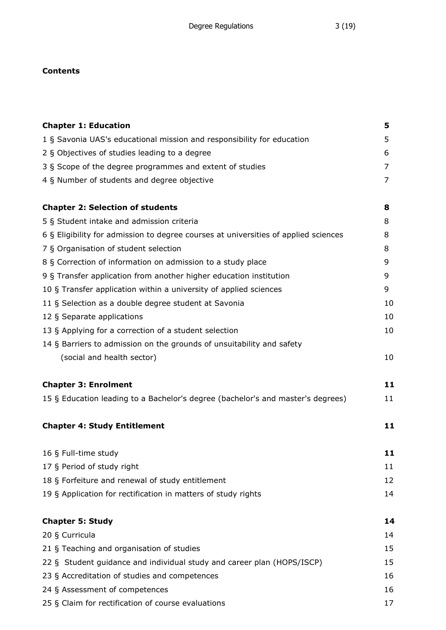## **Contents**

| <b>Chapter 1: Education</b>                                                         | 5  |
|-------------------------------------------------------------------------------------|----|
| 1 § Savonia UAS's educational mission and responsibility for education              | 5  |
| 2 § Objectives of studies leading to a degree                                       | 6  |
| 3 § Scope of the degree programmes and extent of studies                            | 7  |
| 4 § Number of students and degree objective                                         | 7  |
| <b>Chapter 2: Selection of students</b>                                             | 8  |
| 5 § Student intake and admission criteria                                           | 8  |
| 6 § Eligibility for admission to degree courses at universities of applied sciences | 8  |
| 7 § Organisation of student selection                                               | 8  |
| 8 § Correction of information on admission to a study place                         | 9  |
| 9 § Transfer application from another higher education institution                  | 9  |
| 10 § Transfer application within a university of applied sciences                   | 9  |
| 11 § Selection as a double degree student at Savonia                                | 10 |
| 12 § Separate applications                                                          | 10 |
| 13 § Applying for a correction of a student selection                               | 10 |
| 14 § Barriers to admission on the grounds of unsuitability and safety               |    |
| (social and health sector)                                                          | 10 |
| <b>Chapter 3: Enrolment</b>                                                         | 11 |
| 15 § Education leading to a Bachelor's degree (bachelor's and master's degrees)     | 11 |
| <b>Chapter 4: Study Entitlement</b>                                                 | 11 |
| 16 § Full-time study                                                                | 11 |
| 17 § Period of study right                                                          | 11 |
| 18 § Forfeiture and renewal of study entitlement                                    | 12 |
| 19 § Application for rectification in matters of study rights                       | 14 |
| <b>Chapter 5: Study</b>                                                             | 14 |
| 20 § Curricula                                                                      | 14 |
| 21 § Teaching and organisation of studies                                           | 15 |
| 22 § Student guidance and individual study and career plan (HOPS/ISCP)              | 15 |
| 23 § Accreditation of studies and competences                                       | 16 |
| 24 § Assessment of competences                                                      | 16 |
| 25 § Claim for rectification of course evaluations                                  | 17 |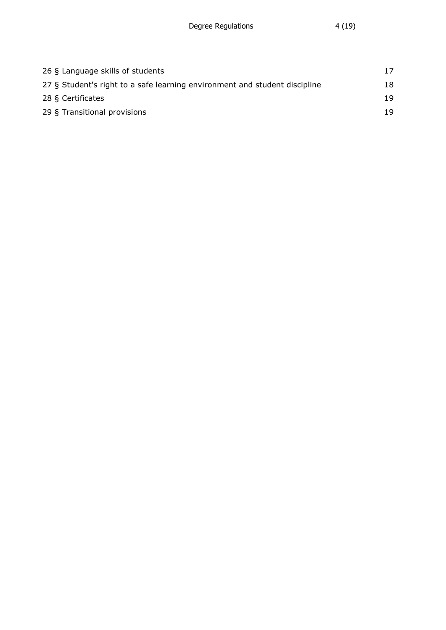| 26 § Language skills of students                                           | 17 |
|----------------------------------------------------------------------------|----|
| 27 § Student's right to a safe learning environment and student discipline | 18 |
| 28 § Certificates                                                          | 19 |
| 29 § Transitional provisions                                               | 19 |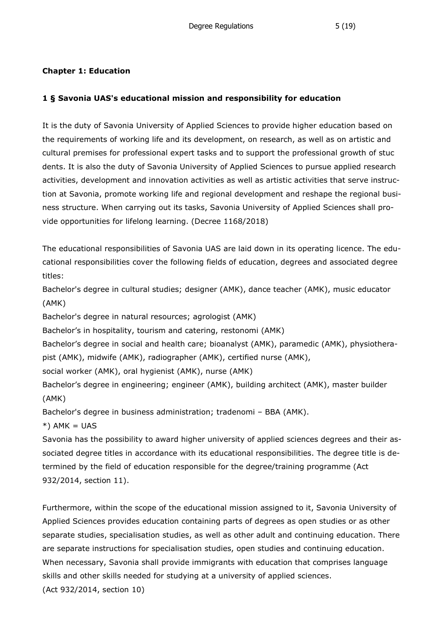#### **Chapter 1: Education**

#### **1 § Savonia UAS's educational mission and responsibility for education**

It is the duty of Savonia University of Applied Sciences to provide higher education based on the requirements of working life and its development, on research, as well as on artistic and cultural premises for professional expert tasks and to support the professional growth of stuc dents. It is also the duty of Savonia University of Applied Sciences to pursue applied research activities, development and innovation activities as well as artistic activities that serve instruction at Savonia, promote working life and regional development and reshape the regional business structure. When carrying out its tasks, Savonia University of Applied Sciences shall provide opportunities for lifelong learning. (Decree 1168/2018)

The educational responsibilities of Savonia UAS are laid down in its operating licence. The educational responsibilities cover the following fields of education, degrees and associated degree titles:

Bachelor's degree in cultural studies; designer (AMK), dance teacher (AMK), music educator (AMK)

Bachelor's degree in natural resources; agrologist (AMK)

Bachelor's in hospitality, tourism and catering, restonomi (AMK)

Bachelor's degree in social and health care; bioanalyst (AMK), paramedic (AMK), physiotherapist (AMK), midwife (AMK), radiographer (AMK), certified nurse (AMK),

social worker (AMK), oral hygienist (AMK), nurse (AMK)

Bachelor's degree in engineering; engineer (AMK), building architect (AMK), master builder (AMK)

Bachelor's degree in business administration; tradenomi – BBA (AMK).

 $*$ ) AMK = UAS

Savonia has the possibility to award higher university of applied sciences degrees and their associated degree titles in accordance with its educational responsibilities. The degree title is determined by the field of education responsible for the degree/training programme (Act 932/2014, section 11).

Furthermore, within the scope of the educational mission assigned to it, Savonia University of Applied Sciences provides education containing parts of degrees as open studies or as other separate studies, specialisation studies, as well as other adult and continuing education. There are separate instructions for specialisation studies, open studies and continuing education. When necessary, Savonia shall provide immigrants with education that comprises language skills and other skills needed for studying at a university of applied sciences. (Act 932/2014, section 10)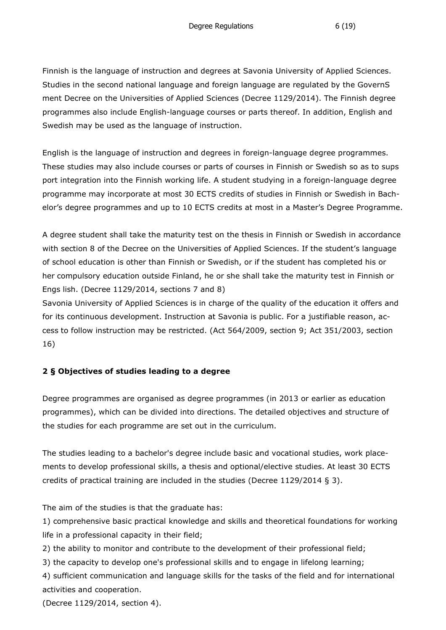Finnish is the language of instruction and degrees at Savonia University of Applied Sciences. Studies in the second national language and foreign language are regulated by the GovernS ment Decree on the Universities of Applied Sciences (Decree 1129/2014). The Finnish degree programmes also include English-language courses or parts thereof. In addition, English and Swedish may be used as the language of instruction.

English is the language of instruction and degrees in foreign-language degree programmes. These studies may also include courses or parts of courses in Finnish or Swedish so as to sups port integration into the Finnish working life. A student studying in a foreign-language degree programme may incorporate at most 30 ECTS credits of studies in Finnish or Swedish in Bachelor's degree programmes and up to 10 ECTS credits at most in a Master's Degree Programme.

A degree student shall take the maturity test on the thesis in Finnish or Swedish in accordance with section 8 of the Decree on the Universities of Applied Sciences. If the student's language of school education is other than Finnish or Swedish, or if the student has completed his or her compulsory education outside Finland, he or she shall take the maturity test in Finnish or Engs lish. (Decree 1129/2014, sections 7 and 8)

Savonia University of Applied Sciences is in charge of the quality of the education it offers and for its continuous development. Instruction at Savonia is public. For a justifiable reason, access to follow instruction may be restricted. (Act 564/2009, section 9; Act 351/2003, section 16)

## **2 § Objectives of studies leading to a degree**

Degree programmes are organised as degree programmes (in 2013 or earlier as education programmes), which can be divided into directions. The detailed objectives and structure of the studies for each programme are set out in the curriculum.

The studies leading to a bachelor's degree include basic and vocational studies, work placements to develop professional skills, a thesis and optional/elective studies. At least 30 ECTS credits of practical training are included in the studies (Decree 1129/2014 § 3).

The aim of the studies is that the graduate has:

1) comprehensive basic practical knowledge and skills and theoretical foundations for working life in a professional capacity in their field;

2) the ability to monitor and contribute to the development of their professional field;

3) the capacity to develop one's professional skills and to engage in lifelong learning;

4) sufficient communication and language skills for the tasks of the field and for international activities and cooperation.

(Decree 1129/2014, section 4).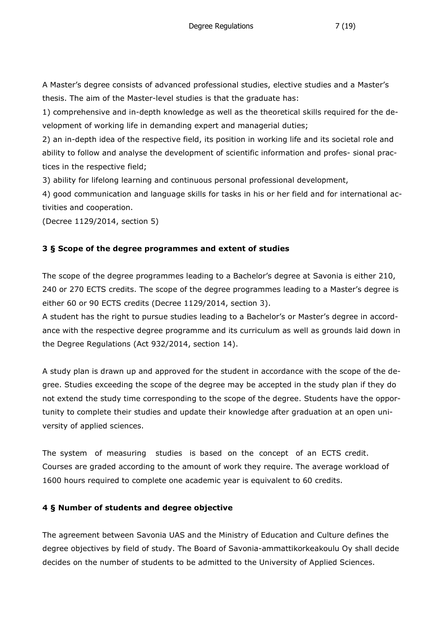A Master's degree consists of advanced professional studies, elective studies and a Master's thesis. The aim of the Master-level studies is that the graduate has:

1) comprehensive and in-depth knowledge as well as the theoretical skills required for the development of working life in demanding expert and managerial duties;

2) an in-depth idea of the respective field, its position in working life and its societal role and ability to follow and analyse the development of scientific information and profes- sional practices in the respective field;

3) ability for lifelong learning and continuous personal professional development,

4) good communication and language skills for tasks in his or her field and for international activities and cooperation.

(Decree 1129/2014, section 5)

## **3 § Scope of the degree programmes and extent of studies**

The scope of the degree programmes leading to a Bachelor's degree at Savonia is either 210, 240 or 270 ECTS credits. The scope of the degree programmes leading to a Master's degree is either 60 or 90 ECTS credits (Decree 1129/2014, section 3).

A student has the right to pursue studies leading to a Bachelor's or Master's degree in accordance with the respective degree programme and its curriculum as well as grounds laid down in the Degree Regulations (Act 932/2014, section 14).

A study plan is drawn up and approved for the student in accordance with the scope of the degree. Studies exceeding the scope of the degree may be accepted in the study plan if they do not extend the study time corresponding to the scope of the degree. Students have the opportunity to complete their studies and update their knowledge after graduation at an open university of applied sciences.

The system of measuring studies is based on the concept of an ECTS credit. Courses are graded according to the amount of work they require. The average workload of 1600 hours required to complete one academic year is equivalent to 60 credits.

## **4 § Number of students and degree objective**

The agreement between Savonia UAS and the Ministry of Education and Culture defines the degree objectives by field of study. The Board of Savonia-ammattikorkeakoulu Oy shall decide decides on the number of students to be admitted to the University of Applied Sciences.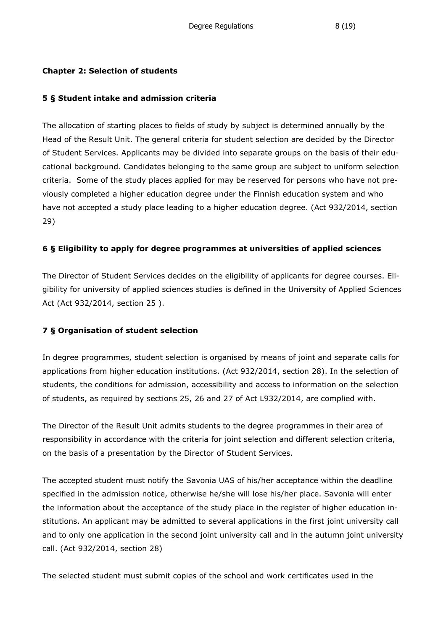#### **Chapter 2: Selection of students**

#### **5 § Student intake and admission criteria**

The allocation of starting places to fields of study by subject is determined annually by the Head of the Result Unit. The general criteria for student selection are decided by the Director of Student Services. Applicants may be divided into separate groups on the basis of their educational background. Candidates belonging to the same group are subject to uniform selection criteria. Some of the study places applied for may be reserved for persons who have not previously completed a higher education degree under the Finnish education system and who have not accepted a study place leading to a higher education degree. (Act 932/2014, section 29)

## **6 § Eligibility to apply for degree programmes at universities of applied sciences**

The Director of Student Services decides on the eligibility of applicants for degree courses. Eligibility for university of applied sciences studies is defined in the University of Applied Sciences Act (Act 932/2014, section 25 ).

## **7 § Organisation of student selection**

In degree programmes, student selection is organised by means of joint and separate calls for applications from higher education institutions. (Act 932/2014, section 28). In the selection of students, the conditions for admission, accessibility and access to information on the selection of students, as required by sections 25, 26 and 27 of Act L932/2014, are complied with.

The Director of the Result Unit admits students to the degree programmes in their area of responsibility in accordance with the criteria for joint selection and different selection criteria, on the basis of a presentation by the Director of Student Services.

The accepted student must notify the Savonia UAS of his/her acceptance within the deadline specified in the admission notice, otherwise he/she will lose his/her place. Savonia will enter the information about the acceptance of the study place in the register of higher education institutions. An applicant may be admitted to several applications in the first joint university call and to only one application in the second joint university call and in the autumn joint university call. (Act 932/2014, section 28)

The selected student must submit copies of the school and work certificates used in the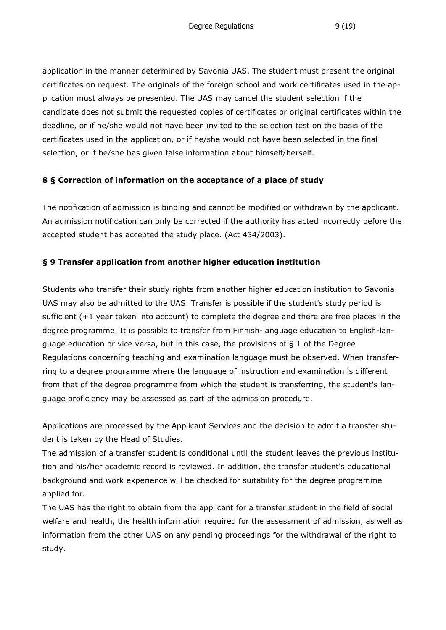application in the manner determined by Savonia UAS. The student must present the original certificates on request. The originals of the foreign school and work certificates used in the application must always be presented. The UAS may cancel the student selection if the candidate does not submit the requested copies of certificates or original certificates within the deadline, or if he/she would not have been invited to the selection test on the basis of the certificates used in the application, or if he/she would not have been selected in the final selection, or if he/she has given false information about himself/herself.

#### **8 § Correction of information on the acceptance of a place of study**

The notification of admission is binding and cannot be modified or withdrawn by the applicant. An admission notification can only be corrected if the authority has acted incorrectly before the accepted student has accepted the study place. (Act 434/2003).

#### **§ 9 Transfer application from another higher education institution**

Students who transfer their study rights from another higher education institution to Savonia UAS may also be admitted to the UAS. Transfer is possible if the student's study period is sufficient (+1 year taken into account) to complete the degree and there are free places in the degree programme. It is possible to transfer from Finnish-language education to English-language education or vice versa, but in this case, the provisions of § 1 of the Degree Regulations concerning teaching and examination language must be observed. When transferring to a degree programme where the language of instruction and examination is different from that of the degree programme from which the student is transferring, the student's language proficiency may be assessed as part of the admission procedure.

Applications are processed by the Applicant Services and the decision to admit a transfer student is taken by the Head of Studies.

The admission of a transfer student is conditional until the student leaves the previous institution and his/her academic record is reviewed. In addition, the transfer student's educational background and work experience will be checked for suitability for the degree programme applied for.

The UAS has the right to obtain from the applicant for a transfer student in the field of social welfare and health, the health information required for the assessment of admission, as well as information from the other UAS on any pending proceedings for the withdrawal of the right to study.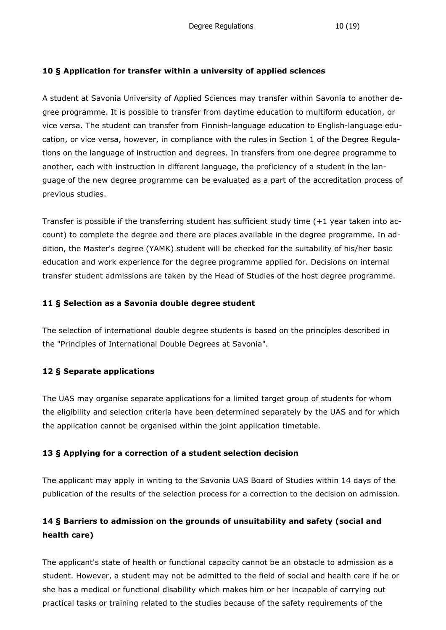#### **10 § Application for transfer within a university of applied sciences**

A student at Savonia University of Applied Sciences may transfer within Savonia to another degree programme. It is possible to transfer from daytime education to multiform education, or vice versa. The student can transfer from Finnish-language education to English-language education, or vice versa, however, in compliance with the rules in Section 1 of the Degree Regulations on the language of instruction and degrees. In transfers from one degree programme to another, each with instruction in different language, the proficiency of a student in the language of the new degree programme can be evaluated as a part of the accreditation process of previous studies.

Transfer is possible if the transferring student has sufficient study time (+1 year taken into account) to complete the degree and there are places available in the degree programme. In addition, the Master's degree (YAMK) student will be checked for the suitability of his/her basic education and work experience for the degree programme applied for. Decisions on internal transfer student admissions are taken by the Head of Studies of the host degree programme.

#### **11 § Selection as a Savonia double degree student**

The selection of international double degree students is based on the principles described in the "Principles of International Double Degrees at Savonia".

## **12 § Separate applications**

The UAS may organise separate applications for a limited target group of students for whom the eligibility and selection criteria have been determined separately by the UAS and for which the application cannot be organised within the joint application timetable.

## **13 § Applying for a correction of a student selection decision**

The applicant may apply in writing to the Savonia UAS Board of Studies within 14 days of the publication of the results of the selection process for a correction to the decision on admission.

# **14 § Barriers to admission on the grounds of unsuitability and safety (social and health care)**

The applicant's state of health or functional capacity cannot be an obstacle to admission as a student. However, a student may not be admitted to the field of social and health care if he or she has a medical or functional disability which makes him or her incapable of carrying out practical tasks or training related to the studies because of the safety requirements of the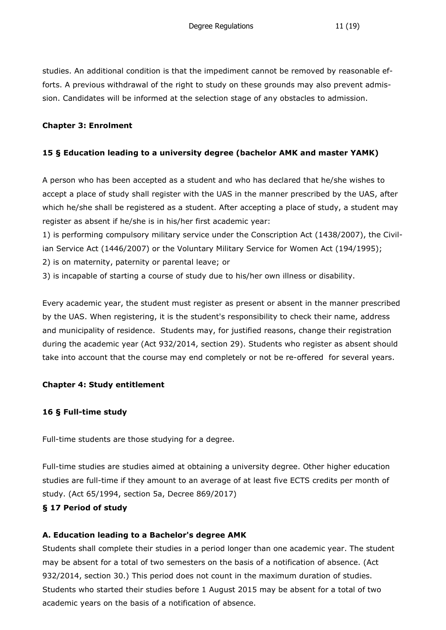studies. An additional condition is that the impediment cannot be removed by reasonable efforts. A previous withdrawal of the right to study on these grounds may also prevent admission. Candidates will be informed at the selection stage of any obstacles to admission.

#### **Chapter 3: Enrolment**

## **15 § Education leading to a university degree (bachelor AMK and master YAMK)**

A person who has been accepted as a student and who has declared that he/she wishes to accept a place of study shall register with the UAS in the manner prescribed by the UAS, after which he/she shall be registered as a student. After accepting a place of study, a student may register as absent if he/she is in his/her first academic year:

1) is performing compulsory military service under the Conscription Act (1438/2007), the Civilian Service Act (1446/2007) or the Voluntary Military Service for Women Act (194/1995);

- 2) is on maternity, paternity or parental leave; or
- 3) is incapable of starting a course of study due to his/her own illness or disability.

Every academic year, the student must register as present or absent in the manner prescribed by the UAS. When registering, it is the student's responsibility to check their name, address and municipality of residence. Students may, for justified reasons, change their registration during the academic year (Act 932/2014, section 29). Students who register as absent should take into account that the course may end completely or not be re-offered for several years.

#### **Chapter 4: Study entitlement**

## **16 § Full-time study**

Full-time students are those studying for a degree.

Full-time studies are studies aimed at obtaining a university degree. Other higher education studies are full-time if they amount to an average of at least five ECTS credits per month of study. (Act 65/1994, section 5a, Decree 869/2017)

#### **§ 17 Period of study**

## **A. Education leading to a Bachelor's degree AMK**

Students shall complete their studies in a period longer than one academic year. The student may be absent for a total of two semesters on the basis of a notification of absence. (Act 932/2014, section 30.) This period does not count in the maximum duration of studies. Students who started their studies before 1 August 2015 may be absent for a total of two academic years on the basis of a notification of absence.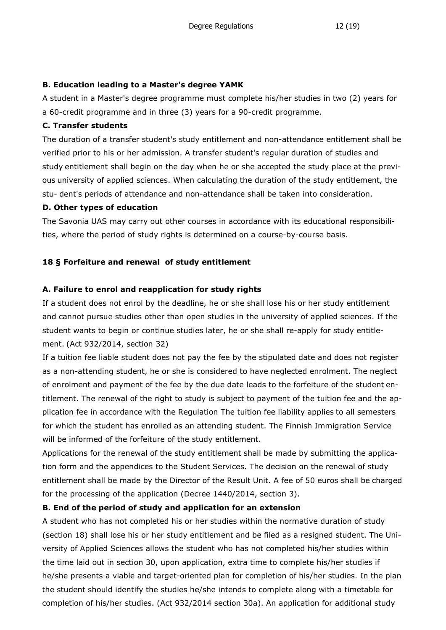#### **B. Education leading to a Master's degree YAMK**

A student in a Master's degree programme must complete his/her studies in two (2) years for a 60-credit programme and in three (3) years for a 90-credit programme.

#### **C. Transfer students**

The duration of a transfer student's study entitlement and non-attendance entitlement shall be verified prior to his or her admission. A transfer student's regular duration of studies and study entitlement shall begin on the day when he or she accepted the study place at the previous university of applied sciences. When calculating the duration of the study entitlement, the stu- dent's periods of attendance and non-attendance shall be taken into consideration.

#### **D. Other types of education**

The Savonia UAS may carry out other courses in accordance with its educational responsibilities, where the period of study rights is determined on a course-by-course basis.

## **18 § Forfeiture and renewal of study entitlement**

#### **A. Failure to enrol and reapplication for study rights**

If a student does not enrol by the deadline, he or she shall lose his or her study entitlement and cannot pursue studies other than open studies in the university of applied sciences. If the student wants to begin or continue studies later, he or she shall re-apply for study entitlement. (Act 932/2014, section 32)

If a tuition fee liable student does not pay the fee by the stipulated date and does not register as a non-attending student, he or she is considered to have neglected enrolment. The neglect of enrolment and payment of the fee by the due date leads to the forfeiture of the student entitlement. The renewal of the right to study is subject to payment of the tuition fee and the application fee in accordance with the Regulation The tuition fee liability applies to all semesters for which the student has enrolled as an attending student. The Finnish Immigration Service will be informed of the forfeiture of the study entitlement.

Applications for the renewal of the study entitlement shall be made by submitting the application form and the appendices to the Student Services. The decision on the renewal of study entitlement shall be made by the Director of the Result Unit. A fee of 50 euros shall becharged for the processing of the application (Decree 1440/2014, section 3).

## **B. End of the period of study and application for an extension**

A student who has not completed his or her studies within the normative duration of study (section 18) shall lose his or her study entitlement and be filed as a resigned student. The University of Applied Sciences allows the student who has not completed his/her studies within the time laid out in section 30, upon application, extra time to complete his/her studies if he/she presents a viable and target-oriented plan for completion of his/her studies. In the plan the student should identify the studies he/she intends to complete along with a timetable for completion of his/her studies. (Act 932/2014 section 30a). An application for additional study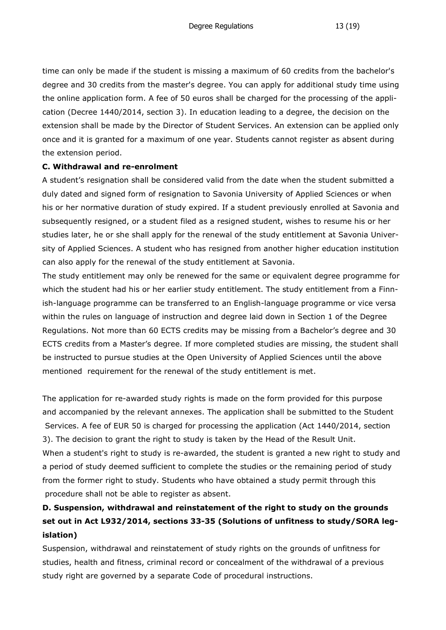time can only be made if the student is missing a maximum of 60 credits from the bachelor's degree and 30 credits from the master's degree. You can apply for additional study time using the online application form. A fee of 50 euros shall be charged for the processing of the application (Decree 1440/2014, section 3). In education leading to a degree, the decision on the extension shall be made by the Director of Student Services. An extension can be applied only once and it is granted for a maximum of one year. Students cannot register as absent during the extension period.

#### **C. Withdrawal and re-enrolment**

A student's resignation shall be considered valid from the date when the student submitted a duly dated and signed form of resignation to Savonia University of Applied Sciences or when his or her normative duration of study expired. If a student previously enrolled at Savonia and subsequently resigned, or a student filed as a resigned student, wishes to resume his or her studies later, he or she shall apply for the renewal of the study entitlement at Savonia University of Applied Sciences. A student who has resigned from another higher education institution can also apply for the renewal of the study entitlement at Savonia.

The study entitlement may only be renewed for the same or equivalent degree programme for which the student had his or her earlier study entitlement. The study entitlement from a Finnish-language programme can be transferred to an English-language programme or vice versa within the rules on language of instruction and degree laid down in Section 1 of the Degree Regulations. Not more than 60 ECTS credits may be missing from a Bachelor's degree and 30 ECTS credits from a Master's degree. If more completed studies are missing, the student shall be instructed to pursue studies at the Open University of Applied Sciences until the above mentioned requirement for the renewal of the study entitlement is met.

The application for re-awarded study rights is made on the form provided for this purpose and accompanied by the relevant annexes. The application shall be submitted to the Student Services. A fee of EUR 50 is charged for processing the application (Act 1440/2014, section 3). The decision to grant the right to study is taken by the Head of the Result Unit. When a student's right to study is re-awarded, the student is granted a new right to study and a period of study deemed sufficient to complete the studies or the remaining period of study from the former right to study. Students who have obtained a study permit through this procedure shall not be able to register as absent.

# **D. Suspension, withdrawal and reinstatement of the right to study on the grounds set out in Act L932/2014, sections 33-35 (Solutions of unfitness to study/SORA legislation)**

Suspension, withdrawal and reinstatement of study rights on the grounds of unfitness for studies, health and fitness, criminal record or concealment of the withdrawal of a previous study right are governed by a separate Code of procedural instructions.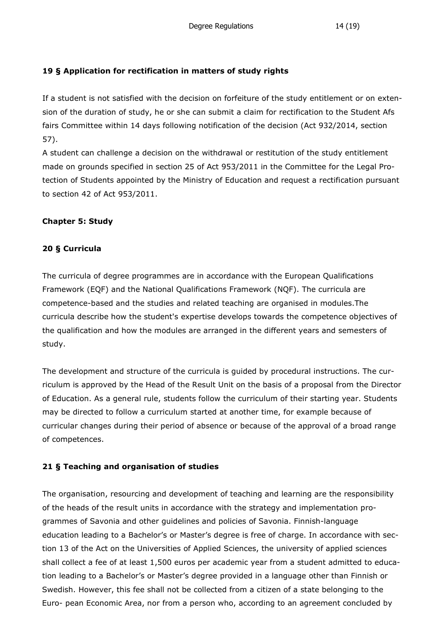## **19 § Application for rectification in matters of study rights**

If a student is not satisfied with the decision on forfeiture of the study entitlement or on extension of the duration of study, he or she can submit a claim for rectification to the Student Afs fairs Committee within 14 days following notification of the decision (Act 932/2014, section 57).

A student can challenge a decision on the withdrawal or restitution of the study entitlement made on grounds specified in section 25 of Act 953/2011 in the Committee for the Legal Protection of Students appointed by the Ministry of Education and request a rectification pursuant to section 42 of Act 953/2011.

#### **Chapter 5: Study**

#### **20 § Curricula**

The curricula of degree programmes are in accordance with the European Qualifications Framework (EQF) and the National Qualifications Framework (NQF). The curricula are competence-based and the studies and related teaching are organised in modules.The curricula describe how the student's expertise develops towards the competence objectives of the qualification and how the modules are arranged in the different years and semesters of study.

The development and structure of the curricula is guided by procedural instructions. The curriculum is approved by the Head of the Result Unit on the basis of a proposal from the Director of Education. As a general rule, students follow the curriculum of their starting year. Students may be directed to follow a curriculum started at another time, for example because of curricular changes during their period of absence or because of the approval of a broad range of competences.

## **21 § Teaching and organisation of studies**

The organisation, resourcing and development of teaching and learning are the responsibility of the heads of the result units in accordance with the strategy and implementation programmes of Savonia and other guidelines and policies of Savonia. Finnish-language education leading to a Bachelor's or Master's degree is free of charge. In accordance with section 13 of the Act on the Universities of Applied Sciences, the university of applied sciences shall collect a fee of at least 1,500 euros per academic year from a student admitted to education leading to a Bachelor's or Master's degree provided in a language other than Finnish or Swedish. However, this fee shall not be collected from a citizen of a state belonging to the Euro- pean Economic Area, nor from a person who, according to an agreement concluded by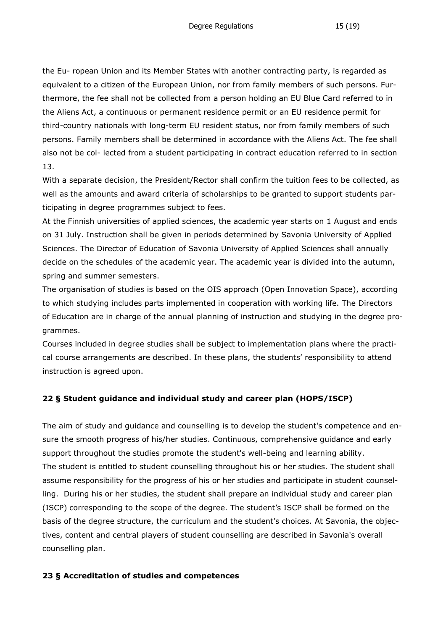the Eu- ropean Union and its Member States with another contracting party, is regarded as equivalent to a citizen of the European Union, nor from family members of such persons. Furthermore, the fee shall not be collected from a person holding an EU Blue Card referred to in the Aliens Act, a continuous or permanent residence permit or an EU residence permit for third-country nationals with long-term EU resident status, nor from family members of such persons. Family members shall be determined in accordance with the Aliens Act. The fee shall also not be col- lected from a student participating in contract education referred to in section 13.

With a separate decision, the President/Rector shall confirm the tuition fees to be collected, as well as the amounts and award criteria of scholarships to be granted to support students participating in degree programmes subject to fees.

At the Finnish universities of applied sciences, the academic year starts on 1 August and ends on 31 July. Instruction shall be given in periods determined by Savonia University of Applied Sciences. The Director of Education of Savonia University of Applied Sciences shall annually decide on the schedules of the academic year. The academic year is divided into the autumn, spring and summer semesters.

The organisation of studies is based on the OIS approach (Open Innovation Space), according to which studying includes parts implemented in cooperation with working life. The Directors of Education are in charge of the annual planning of instruction and studying in the degree programmes.

Courses included in degree studies shall be subject to implementation plans where the practical course arrangements are described. In these plans, the students' responsibility to attend instruction is agreed upon.

## **22 § Student guidance and individual study and career plan (HOPS/ISCP)**

The aim of study and guidance and counselling is to develop the student's competence and ensure the smooth progress of his/her studies. Continuous, comprehensive guidance and early support throughout the studies promote the student's well-being and learning ability. The student is entitled to student counselling throughout his or her studies. The student shall assume responsibility for the progress of his or her studies and participate in student counselling. During his or her studies, the student shall prepare an individual study and career plan (ISCP) corresponding to the scope of the degree. The student's ISCP shall be formed on the basis of the degree structure, the curriculum and the student's choices. At Savonia, the objectives, content and central players of student counselling are described in Savonia's overall counselling plan.

#### **23 § Accreditation of studies and competences**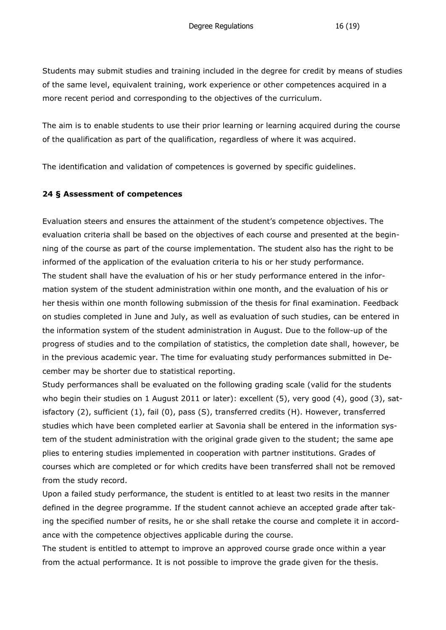Students may submit studies and training included in the degree for credit by means of studies of the same level, equivalent training, work experience or other competences acquired in a more recent period and corresponding to the objectives of the curriculum.

The aim is to enable students to use their prior learning or learning acquired during the course of the qualification as part of the qualification, regardless of where it was acquired.

The identification and validation of competences is governed by specific guidelines.

#### **24 § Assessment of competences**

Evaluation steers and ensures the attainment of the student's competence objectives. The evaluation criteria shall be based on the objectives of each course and presented at the beginning of the course as part of the course implementation. The student also has the right to be informed of the application of the evaluation criteria to his or her study performance. The student shall have the evaluation of his or her study performance entered in the information system of the student administration within one month, and the evaluation of his or her thesis within one month following submission of the thesis for final examination. Feedback on studies completed in June and July, as well as evaluation of such studies, can be entered in the information system of the student administration in August. Due to the follow-up of the progress of studies and to the compilation of statistics, the completion date shall, however, be in the previous academic year. The time for evaluating study performances submitted in December may be shorter due to statistical reporting.

Study performances shall be evaluated on the following grading scale (valid for the students who begin their studies on 1 August 2011 or later): excellent (5), very good (4), good (3), satisfactory (2), sufficient (1), fail (0), pass (S), transferred credits (H). However, transferred studies which have been completed earlier at Savonia shall be entered in the information system of the student administration with the original grade given to the student; the same ape plies to entering studies implemented in cooperation with partner institutions. Grades of courses which are completed or for which credits have been transferred shall not be removed from the study record.

Upon a failed study performance, the student is entitled to at least two resits in the manner defined in the degree programme. If the student cannot achieve an accepted grade after taking the specified number of resits, he or she shall retake the course and complete it in accordance with the competence objectives applicable during the course.

The student is entitled to attempt to improve an approved course grade once within a year from the actual performance. It is not possible to improve the grade given for the thesis.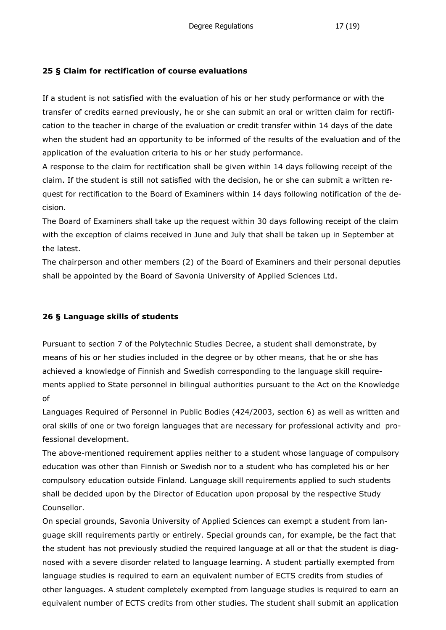#### **25 § Claim for rectification of course evaluations**

If a student is not satisfied with the evaluation of his or her study performance or with the transfer of credits earned previously, he or she can submit an oral or written claim for rectification to the teacher in charge of the evaluation or credit transfer within 14 days of the date when the student had an opportunity to be informed of the results of the evaluation and of the application of the evaluation criteria to his or her study performance.

A response to the claim for rectification shall be given within 14 days following receipt of the claim. If the student is still not satisfied with the decision, he or she can submit a written request for rectification to the Board of Examiners within 14 days following notification of the decision.

The Board of Examiners shall take up the request within 30 days following receipt of the claim with the exception of claims received in June and July that shall be taken up in September at the latest.

The chairperson and other members (2) of the Board of Examiners and their personal deputies shall be appointed by the Board of Savonia University of Applied Sciences Ltd.

## **26 § Language skills of students**

Pursuant to section 7 of the Polytechnic Studies Decree, a student shall demonstrate, by means of his or her studies included in the degree or by other means, that he or she has achieved a knowledge of Finnish and Swedish corresponding to the language skill requirements applied to State personnel in bilingual authorities pursuant to the Act on the Knowledge of

Languages Required of Personnel in Public Bodies (424/2003, section 6) as well as written and oral skills of one or two foreign languages that are necessary for professional activity and professional development.

The above-mentioned requirement applies neither to a student whose language of compulsory education was other than Finnish or Swedish nor to a student who has completed his or her compulsory education outside Finland. Language skill requirements applied to such students shall be decided upon by the Director of Education upon proposal by the respective Study Counsellor.

On special grounds, Savonia University of Applied Sciences can exempt a student from language skill requirements partly or entirely. Special grounds can, for example, be the fact that the student has not previously studied the required language at all or that the student is diagnosed with a severe disorder related to language learning. A student partially exempted from language studies is required to earn an equivalent number of ECTS credits from studies of other languages. A student completely exempted from language studies is required to earn an equivalent number of ECTS credits from other studies. The student shall submit an application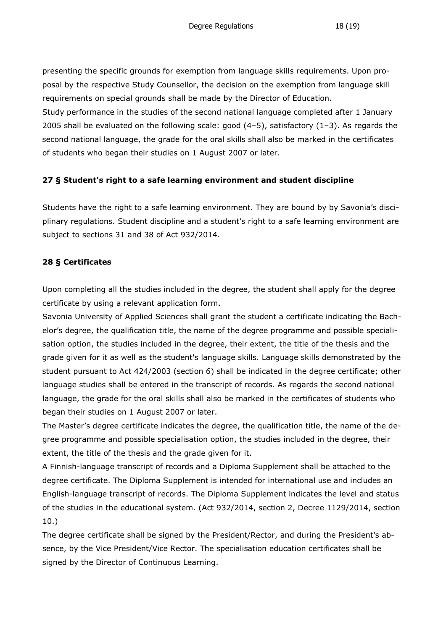presenting the specific grounds for exemption from language skills requirements. Upon proposal by the respective Study Counsellor, the decision on the exemption from language skill requirements on special grounds shall be made by the Director of Education.

Study performance in the studies of the second national language completed after 1 January 2005 shall be evaluated on the following scale: good  $(4-5)$ , satisfactory  $(1-3)$ . As regards the second national language, the grade for the oral skills shall also be marked in the certificates of students who began their studies on 1 August 2007 or later.

## **27 § Student's right to a safe learning environment and student discipline**

Students have the right to a safe learning environment. They are bound by by Savonia's disciplinary regulations. Student discipline and a student's right to a safe learning environment are subject to sections 31 and 38 of Act 932/2014.

## **28 § Certificates**

Upon completing all the studies included in the degree, the student shall apply for the degree certificate by using a relevant application form.

Savonia University of Applied Sciences shall grant the student a certificate indicating the Bachelor's degree, the qualification title, the name of the degree programme and possible specialisation option, the studies included in the degree, their extent, the title of the thesis and the grade given for it as well as the student's language skills. Language skills demonstrated by the student pursuant to Act 424/2003 (section 6) shall be indicated in the degree certificate; other language studies shall be entered in the transcript of records. As regards the second national language, the grade for the oral skills shall also be marked in the certificates of students who began their studies on 1 August 2007 or later.

The Master's degree certificate indicates the degree, the qualification title, the name of the degree programme and possible specialisation option, the studies included in the degree, their extent, the title of the thesis and the grade given for it.

A Finnish-language transcript of records and a Diploma Supplement shall be attached to the degree certificate. The Diploma Supplement is intended for international use and includes an English-language transcript of records. The Diploma Supplement indicates the level and status of the studies in the educational system. (Act 932/2014, section 2, Decree 1129/2014, section 10.)

The degree certificate shall be signed by the President/Rector, and during the President's absence, by the Vice President/Vice Rector. The specialisation education certificates shall be signed by the Director of Continuous Learning.